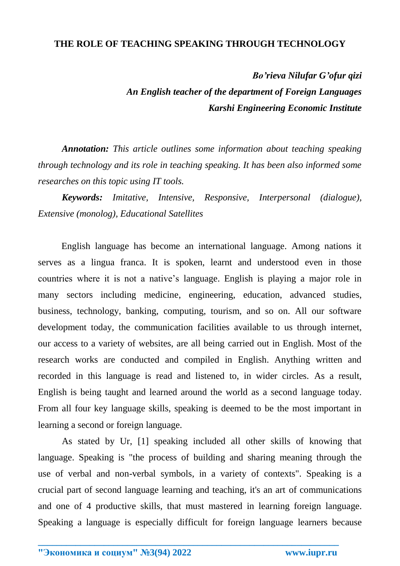## **THE ROLE OF TEACHING SPEAKING THROUGH TECHNOLOGY**

*Bo'rieva Nilufar G'ofur qizi An English teacher of the department of Foreign Languages Karshi Engineering Economic Institute*

*Annotation: This article outlines some information about teaching speaking through technology and its role in teaching speaking. It has been also informed some researches on this topic using IT tools.* 

*Keywords: Imitative, Intensive, Responsive, Interpersonal (dialogue), Extensive (monolog), Educational Satellites*

 English language has become an international language. Among nations it serves as a lingua franca. It is spoken, learnt and understood even in those countries where it is not a native's language. English is playing a major role in many sectors including medicine, engineering, education, advanced studies, business, technology, banking, computing, tourism, and so on. All our software development today, the communication facilities available to us through internet, our access to a variety of websites, are all being carried out in English. Most of the research works are conducted and compiled in English. Anything written and recorded in this language is read and listened to, in wider circles. As a result, English is being taught and learned around the world as a second language today. From all four key language skills, speaking is deemed to be the most important in learning a second or foreign language.

As stated by Ur, [1] speaking included all other skills of knowing that language. Speaking is "the process of building and sharing meaning through the use of verbal and non-verbal symbols, in a variety of contexts". Speaking is a crucial part of second language learning and teaching, it's an art of communications and one of 4 productive skills, that must mastered in learning foreign language. Speaking a language is especially difficult for foreign language learners because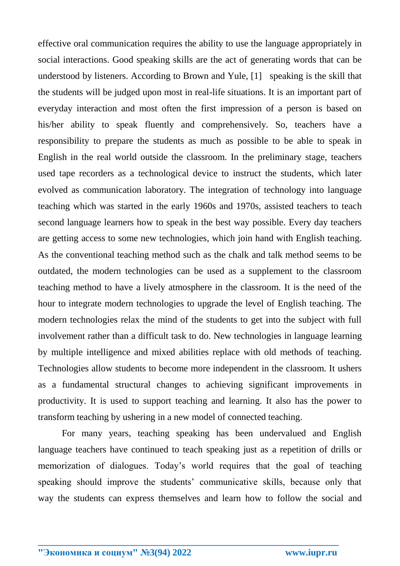effective oral communication requires the ability to use the language appropriately in social interactions. Good speaking skills are the act of generating words that can be understood by listeners. According to Brown and Yule, [1] speaking is the skill that the students will be judged upon most in real-life situations. It is an important part of everyday interaction and most often the first impression of a person is based on his/her ability to speak fluently and comprehensively. So, teachers have a responsibility to prepare the students as much as possible to be able to speak in English in the real world outside the classroom. In the preliminary stage, teachers used tape recorders as a technological device to instruct the students, which later evolved as communication laboratory. The integration of technology into language teaching which was started in the early 1960s and 1970s, assisted teachers to teach second language learners how to speak in the best way possible. Every day teachers are getting access to some new technologies, which join hand with English teaching. As the conventional teaching method such as the chalk and talk method seems to be outdated, the modern technologies can be used as a supplement to the classroom teaching method to have a lively atmosphere in the classroom. It is the need of the hour to integrate modern technologies to upgrade the level of English teaching. The modern technologies relax the mind of the students to get into the subject with full involvement rather than a difficult task to do. New technologies in language learning by multiple intelligence and mixed abilities replace with old methods of teaching. Technologies allow students to become more independent in the classroom. It ushers as a fundamental structural changes to achieving significant improvements in productivity. It is used to support teaching and learning. It also has the power to transform teaching by ushering in a new model of connected teaching.

For many years, teaching speaking has been undervalued and English language teachers have continued to teach speaking just as a repetition of drills or memorization of dialogues. Today's world requires that the goal of teaching speaking should improve the students' communicative skills, because only that way the students can express themselves and learn how to follow the social and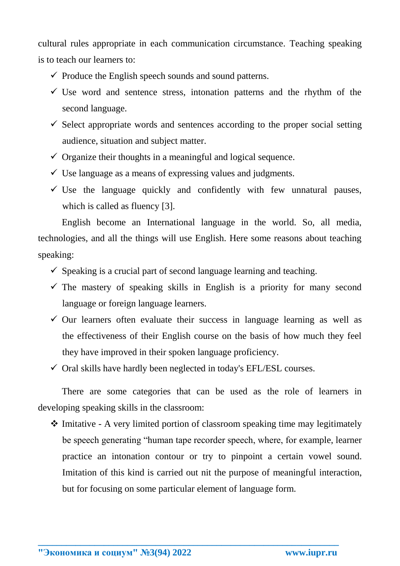cultural rules appropriate in each communication circumstance. Teaching speaking is to teach our learners to:

- $\checkmark$  Produce the English speech sounds and sound patterns.
- $\checkmark$  Use word and sentence stress, intonation patterns and the rhythm of the second language.
- $\checkmark$  Select appropriate words and sentences according to the proper social setting audience, situation and subject matter.
- $\checkmark$  Organize their thoughts in a meaningful and logical sequence.
- $\checkmark$  Use language as a means of expressing values and judgments.
- $\checkmark$  Use the language quickly and confidently with few unnatural pauses, which is called as fluency [3].

English become an International language in the world. So, all media, technologies, and all the things will use English. Here some reasons about teaching speaking:

- $\checkmark$  Speaking is a crucial part of second language learning and teaching.
- $\checkmark$  The mastery of speaking skills in English is a priority for many second language or foreign language learners.
- $\checkmark$  Our learners often evaluate their success in language learning as well as the effectiveness of their English course on the basis of how much they feel they have improved in their spoken language proficiency.
- $\checkmark$  Oral skills have hardly been neglected in today's EFL/ESL courses.

There are some categories that can be used as the role of learners in developing speaking skills in the classroom:

 $\triangle$  Imitative - A very limited portion of classroom speaking time may legitimately be speech generating "human tape recorder speech, where, for example, learner practice an intonation contour or try to pinpoint a certain vowel sound. Imitation of this kind is carried out nit the purpose of meaningful interaction, but for focusing on some particular element of language form.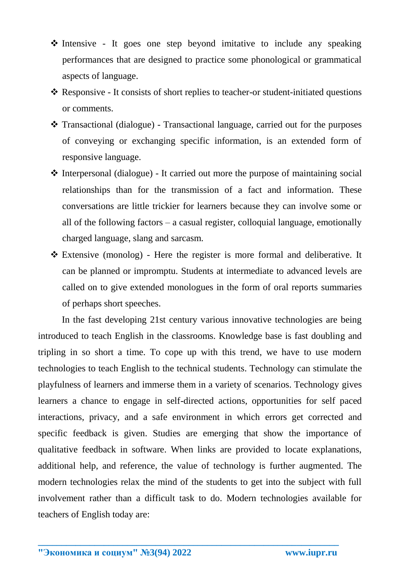- $\triangle$  Intensive It goes one step beyond imitative to include any speaking performances that are designed to practice some phonological or grammatical aspects of language.
- Responsive It consists of short replies to teacher-or student-initiated questions or comments.
- Transactional (dialogue) Transactional language, carried out for the purposes of conveying or exchanging specific information, is an extended form of responsive language.
- $\triangle$  Interpersonal (dialogue) It carried out more the purpose of maintaining social relationships than for the transmission of a fact and information. These conversations are little trickier for learners because they can involve some or all of the following factors – a casual register, colloquial language, emotionally charged language, slang and sarcasm.
- Extensive (monolog) Here the register is more formal and deliberative. It can be planned or impromptu. Students at intermediate to advanced levels are called on to give extended monologues in the form of oral reports summaries of perhaps short speeches.

In the fast developing 21st century various innovative technologies are being introduced to teach English in the classrooms. Knowledge base is fast doubling and tripling in so short a time. To cope up with this trend, we have to use modern technologies to teach English to the technical students. Technology can stimulate the playfulness of learners and immerse them in a variety of scenarios. Technology gives learners a chance to engage in self-directed actions, opportunities for self paced interactions, privacy, and a safe environment in which errors get corrected and specific feedback is given. Studies are emerging that show the importance of qualitative feedback in software. When links are provided to locate explanations, additional help, and reference, the value of technology is further augmented. The modern technologies relax the mind of the students to get into the subject with full involvement rather than a difficult task to do. Modern technologies available for teachers of English today are: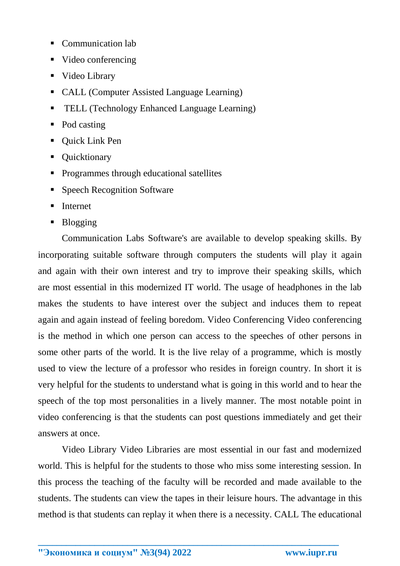- Communication lab
- Video conferencing
- Video Library
- CALL (Computer Assisted Language Learning)
- TELL (Technology Enhanced Language Learning)
- Pod casting
- Quick Link Pen
- Quicktionary
- **Programmes through educational satellites**
- Speech Recognition Software
- Internet
- Blogging

Communication Labs Software's are available to develop speaking skills. By incorporating suitable software through computers the students will play it again and again with their own interest and try to improve their speaking skills, which are most essential in this modernized IT world. The usage of headphones in the lab makes the students to have interest over the subject and induces them to repeat again and again instead of feeling boredom. Video Conferencing Video conferencing is the method in which one person can access to the speeches of other persons in some other parts of the world. It is the live relay of a programme, which is mostly used to view the lecture of a professor who resides in foreign country. In short it is very helpful for the students to understand what is going in this world and to hear the speech of the top most personalities in a lively manner. The most notable point in video conferencing is that the students can post questions immediately and get their answers at once.

Video Library Video Libraries are most essential in our fast and modernized world. This is helpful for the students to those who miss some interesting session. In this process the teaching of the faculty will be recorded and made available to the students. The students can view the tapes in their leisure hours. The advantage in this method is that students can replay it when there is a necessity. CALL The educational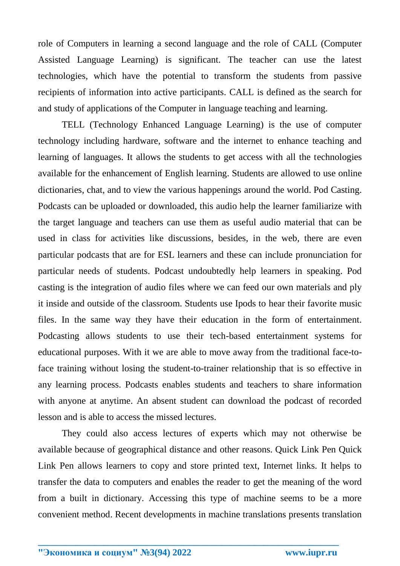role of Computers in learning a second language and the role of CALL (Computer Assisted Language Learning) is significant. The teacher can use the latest technologies, which have the potential to transform the students from passive recipients of information into active participants. CALL is defined as the search for and study of applications of the Computer in language teaching and learning.

TELL (Technology Enhanced Language Learning) is the use of computer technology including hardware, software and the internet to enhance teaching and learning of languages. It allows the students to get access with all the technologies available for the enhancement of English learning. Students are allowed to use online dictionaries, chat, and to view the various happenings around the world. Pod Casting. Podcasts can be uploaded or downloaded, this audio help the learner familiarize with the target language and teachers can use them as useful audio material that can be used in class for activities like discussions, besides, in the web, there are even particular podcasts that are for ESL learners and these can include pronunciation for particular needs of students. Podcast undoubtedly help learners in speaking. Pod casting is the integration of audio files where we can feed our own materials and ply it inside and outside of the classroom. Students use Ipods to hear their favorite music files. In the same way they have their education in the form of entertainment. Podcasting allows students to use their tech-based entertainment systems for educational purposes. With it we are able to move away from the traditional face-toface training without losing the student-to-trainer relationship that is so effective in any learning process. Podcasts enables students and teachers to share information with anyone at anytime. An absent student can download the podcast of recorded lesson and is able to access the missed lectures.

They could also access lectures of experts which may not otherwise be available because of geographical distance and other reasons. Quick Link Pen Quick Link Pen allows learners to copy and store printed text, Internet links. It helps to transfer the data to computers and enables the reader to get the meaning of the word from a built in dictionary. Accessing this type of machine seems to be a more convenient method. Recent developments in machine translations presents translation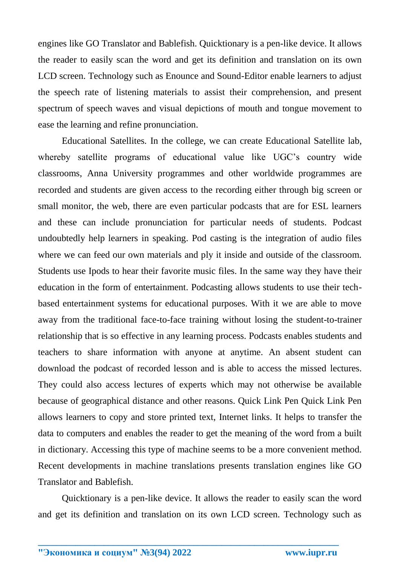engines like GO Translator and Bablefish. Quicktionary is a pen-like device. It allows the reader to easily scan the word and get its definition and translation on its own LCD screen. Technology such as Enounce and Sound-Editor enable learners to adjust the speech rate of listening materials to assist their comprehension, and present spectrum of speech waves and visual depictions of mouth and tongue movement to ease the learning and refine pronunciation.

Educational Satellites*.* In the college, we can create Educational Satellite lab, whereby satellite programs of educational value like UGC's country wide classrooms, Anna University programmes and other worldwide programmes are recorded and students are given access to the recording either through big screen or small monitor, the web, there are even particular podcasts that are for ESL learners and these can include pronunciation for particular needs of students. Podcast undoubtedly help learners in speaking. Pod casting is the integration of audio files where we can feed our own materials and ply it inside and outside of the classroom. Students use Ipods to hear their favorite music files. In the same way they have their education in the form of entertainment. Podcasting allows students to use their techbased entertainment systems for educational purposes. With it we are able to move away from the traditional face-to-face training without losing the student-to-trainer relationship that is so effective in any learning process. Podcasts enables students and teachers to share information with anyone at anytime. An absent student can download the podcast of recorded lesson and is able to access the missed lectures. They could also access lectures of experts which may not otherwise be available because of geographical distance and other reasons. Quick Link Pen Quick Link Pen allows learners to copy and store printed text, Internet links. It helps to transfer the data to computers and enables the reader to get the meaning of the word from a built in dictionary. Accessing this type of machine seems to be a more convenient method. Recent developments in machine translations presents translation engines like GO Translator and Bablefish.

Quicktionary is a pen-like device. It allows the reader to easily scan the word and get its definition and translation on its own LCD screen. Technology such as